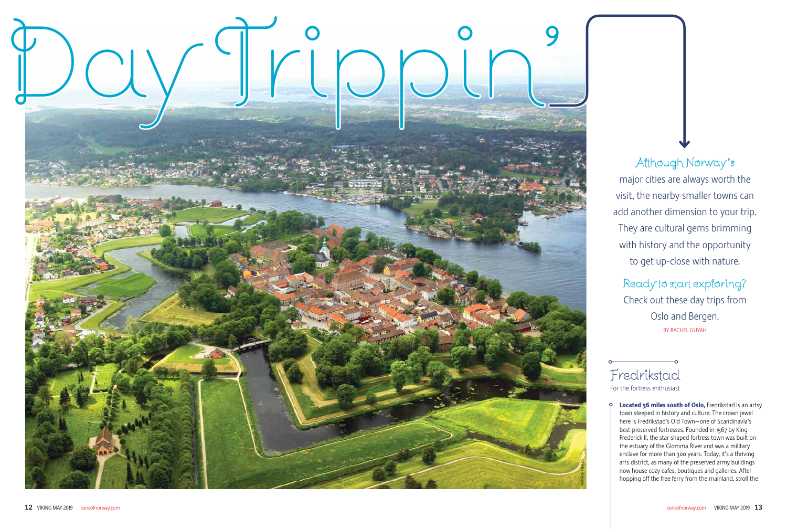Although Norway 's major cities are always worth the visit, the nearby smaller towns can add another dimension to your trip. They are cultural gems brimming with history and the opportunity to get up-close with nature.

Ready to start exploring? Check out these day trips from Oslo and Bergen. BY RACHEL GUYAH

# Fredrikstad

For the fortress enthusiast

Located 56 miles south of Oslo, Fredrikstad is an artsy town steeped in history and culture. The crown jewel here is Fredrikstad's Old Town—one of Scandinavia's best-preserved fortresses. Founded in 1567 by King Frederick II, the star-shaped fortress town was built on the estuary of the Glomma River and was a military enclave for more than 300 years. Today, it's a thriving arts district, as many of the preserved army buildings now house cozy cafes, boutiques and galleries. After hopping off the free ferry from the mainland, stroll the

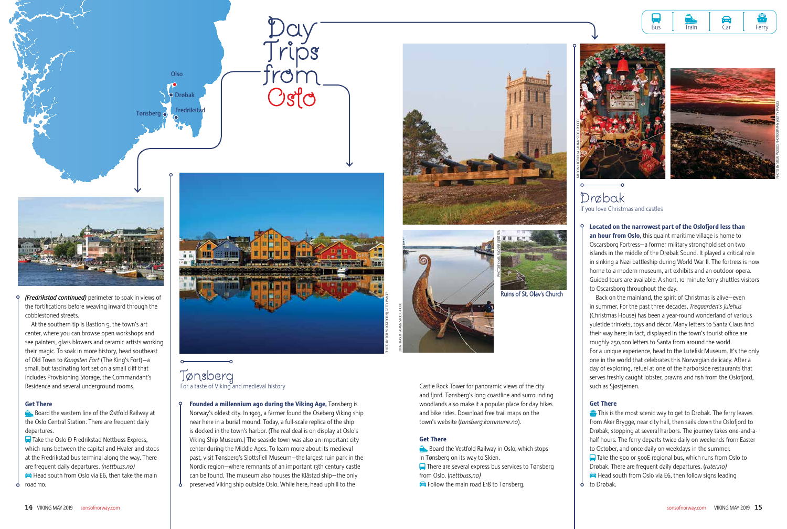# Drøbak If you love Christmas and castles

### Located on the narrowest part of the Oslofjord less than an hour from Oslo, this quaint maritime village is home to Oscarsborg Fortress—a former military stronghold set on two islands in the middle of the Drøbak Sound. It played a critical role in sinking a Nazi battleship during World War II. The fortress is now home to a modern museum, art exhibits and an outdoor opera. Guided tours are available. A short, 10-minute ferry shuttles visitors to Oscarsborg throughout the day.

Back on the mainland, the spirit of Christmas is alive—even in summer. For the past three decades, *Tregaarden's Julehus* (Christmas House) has been a year-round wonderland of various yuletide trinkets, toys and décor. Many letters to Santa Claus find their way here; in fact, displayed in the town's tourist office are roughly 250,000 letters to Santa from around the world.

For a unique experience, head to the Lutefisk Museum. It's the only one in the world that celebrates this Norwegian delicacy. After a day of exploring, refuel at one of the harborside restaurants that serves freshly caught lobster, prawns and fish from the Oslofjord, such as Sjøstjernen.

This is the most scenic way to get to Drøbak. The ferry leaves from Aker Brygge, near city hall, then sails down the Oslofjord to Drøbak, stopping at several harbors. The journey takes one-and-ahalf hours. The ferry departs twice daily on weekends from Easter to October, and once daily on weekdays in the summer. Take the 500 or 500E regional bus, which runs from Oslo to Drøbak. There are frequent daily departures. (*ruter.no)* Head south from Oslo via E6, then follow signs leading

### Get There

Board the western line of the Østfold Railway at the Oslo Central Station. There are frequent daily departures.

Take the Oslo **Đ** Fredrikstad Nettbuss Express, which runs between the capital and Hvaler and stops at the Fredrikstad bus terminal along the way. There are frequent daily departures. *(nettbuss.no)*

Head south from Oslo via E6, then take the main road 110.



to Drøbak.

# Tønsberg For a taste of Viking and medieval history

Ō.

### Founded a millennium ago during the Viking Age, Tønsberg is

Norway's oldest city. In 1903, a farmer found the Oseberg Viking ship near here in a burial mound. Today, a full-scale replica of the ship is docked in the town's harbor. (The real deal is on display at Oslo's Viking Ship Museum.) The seaside town was also an important city center during the Middle Ages. To learn more about its medieval past, visit Tønsberg's Slottsfjell Museum—the largest ruin park in the Nordic region—where remnants of an important 13th century castle can be found. The museum also houses the Klåstad ship—the only preserved Viking ship outside Oslo. While here, head uphill to the



Day

Trips

from

Oslo

*(Fredrikstad continued)* perimeter to soak in views of the fortifications before weaving inward through the cobblestoned streets.

At the southern tip is Bastion 5, the town's art center, where you can browse open workshops and see painters, glass blowers and ceramic artists working their magic. To soak in more history, head southeast of Old Town to *Kongsten Fort* (The King's Fort)—a small, but fascinating fort set on a small cliff that includes Provisioning Storage, the Commandant's Residence and several underground rooms.

### Get There





Castle Rock Tower for panoramic views of the city and fjord. Tønsberg's long coastline and surrounding woodlands also make it a popular place for day hikes and bike rides. Download free trail maps on the town's website (*tonsberg.kommune.no*).

### Get There







PHOTO BY TOBIAS ACKEBORN / GETTY IMAGES

Board the Vestfold Railway in Oslo, which stops in Tønsberg on its way to Skien. **There are several express bus services to Tønsberg** from Oslo. (*nettbuss.no)* Follow the main road E18 to Tønsberg.